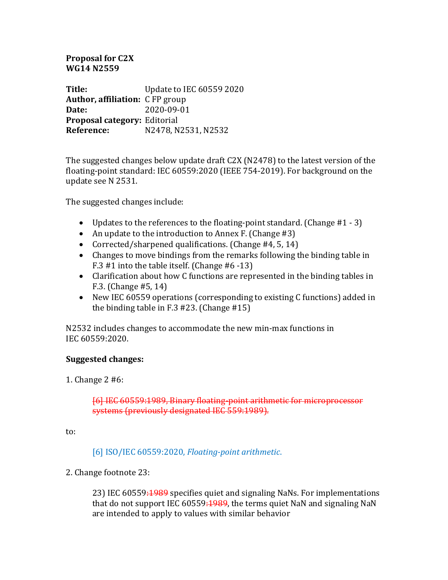# **Proposal for C2X WG14 N2559**

**Title:** Update to IEC 60559 2020 **Author, affiliation:** CFP group **Date:** 2020-09-01 **Proposal category:** Editorial **Reference:** N2478, N2531, N2532

The suggested changes below update draft  $C2X$  (N2478) to the latest version of the floating-point standard: IEC 60559:2020 (IEEE 754-2019). For background on the update see N 2531.

The suggested changes include:

- Updates to the references to the floating-point standard. (Change  $#1 3$ )
- An update to the introduction to Annex F. (Change  $#3$ )
- Corrected/sharpened qualifications. (Change #4, 5, 14)
- Changes to move bindings from the remarks following the binding table in F.3  $#1$  into the table itself. (Change  $#6 -13$ )
- Clarification about how C functions are represented in the binding tables in F.3. (Change  $#5, 14$ )
- New IEC 60559 operations (corresponding to existing C functions) added in the binding table in  $F.3$  #23. (Change #15)

N2532 includes changes to accommodate the new min-max functions in IEC 60559:2020.

### **Suggested changes:**

1. Change  $2 \#6$ :

### [6] IEC 60559:1989, Binary floating-point arithmetic for microprocessor systems (previously designated IEC 559:1989).

to:

[6] ISO/IEC 60559:2020, *Floating-point arithmetic*.

### 2. Change footnote 23:

23) IEC 60559:1989 specifies quiet and signaling NaNs. For implementations that do not support IEC 60559: $\frac{1989}{1000}$ , the terms quiet NaN and signaling NaN are intended to apply to values with similar behavior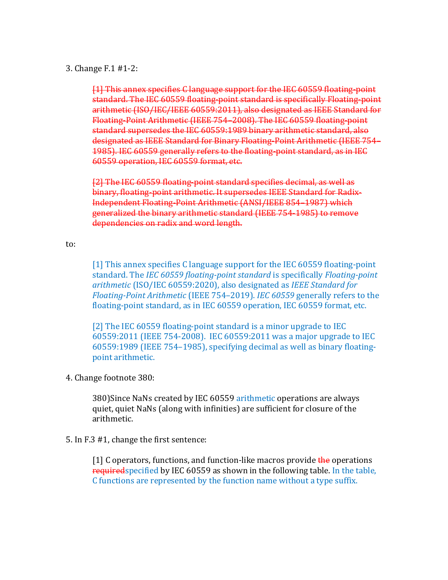#### 3. Change F.1 #1-2:

[1] This annex specifies C language support for the IEC 60559 floating-point standard. The IEC 60559 floating-point standard is specifically Floating-point arithmetic (ISO/IEC/IEEE 60559:2011), also designated as IEEE Standard for Floating-Point Arithmetic (IEEE 754-2008). The IEC 60559 floating-point standard supersedes the IEC 60559:1989 binary arithmetic standard, also designated as IEEE Standard for Binary Floating-Point Arithmetic (IEEE 754– 1985). IEC 60559 generally refers to the floating-point standard, as in IEC 60559 operation, IEC 60559 format, etc.

[2] The IEC 60559 floating-point standard specifies decimal, as well as binary, floating-point arithmetic. It supersedes IEEE Standard for Radix-Independent Floating-Point Arithmetic (ANSI/IEEE 854-1987) which generalized the binary arithmetic standard (IEEE 754-1985) to remove dependencies on radix and word length.

to: 

[1] This annex specifies C language support for the IEC 60559 floating-point standard. The *IEC* 60559 floating-point standard is specifically *Floating-point arithmetic* (ISO/IEC 60559:2020), also designated as *IEEE Standard for Floating-Point Arithmetic* (IEEE 754–2019). *IEC* 60559 generally refers to the floating-point standard, as in IEC 60559 operation, IEC 60559 format, etc.

[2] The IEC 60559 floating-point standard is a minor upgrade to IEC 60559:2011 (IEEE 754-2008). IEC 60559:2011 was a major upgrade to IEC 60559:1989 (IEEE 754-1985), specifying decimal as well as binary floatingpoint arithmetic.

4. Change footnote 380:

380)Since NaNs created by IEC 60559 arithmetic operations are always quiet, quiet NaNs (along with infinities) are sufficient for closure of the arithmetic.

### 5. In F.3 #1, change the first sentence:

[1] C operators, functions, and function-like macros provide  $\frac{d}{dr}$  operations requiredspecified by IEC 60559 as shown in the following table. In the table, C functions are represented by the function name without a type suffix.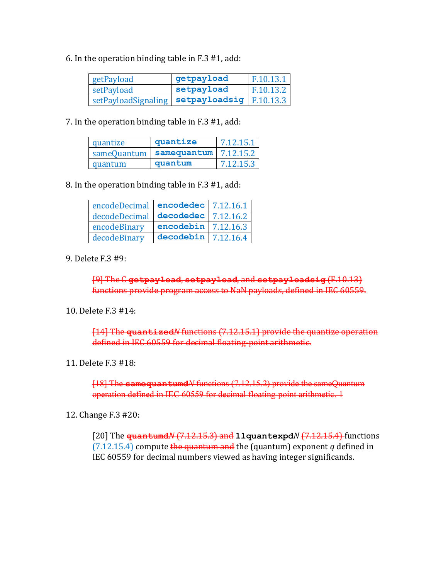6. In the operation binding table in  $F.3 \# 1$ , add:

| getPayload                                      | getpayload | F.10.13.1 |
|-------------------------------------------------|------------|-----------|
| setPayload                                      | setpayload | F.10.13.2 |
| setPayloadSignaling   setpayloadsig   F.10.13.3 |            |           |

7. In the operation binding table in  $F.3 \# 1$ , add:

| quantize    | quantize    | 7.12.15.1 |
|-------------|-------------|-----------|
| sameQuantum | samequantum | 7.12.15.2 |
| quantum     | quantum     | 7.12.15.3 |

8. In the operation binding table in  $F.3 \# 1$ , add:

| encodeDecimal encodedec 7.12.16.1                         |                         |             |
|-----------------------------------------------------------|-------------------------|-------------|
| $\vert$ decodeDecimal $\vert$ decodedec $\vert$ 7.12.16.2 |                         |             |
| encodeBinary                                              | encodebin $ 7.12.16.3 $ |             |
| decodeBinary                                              | decodebin               | 1,7.12.16.4 |

9. Delete F.3 #9:

[9] The C getpayload, setpayload, and setpayloadsig (F.10.13) functions provide program access to NaN payloads, defined in IEC 60559.

# 10. Delete F.3 #14:

[14] The quantized<sup>*N*</sup> functions (7.12.15.1) provide the quantize operation defined in IEC 60559 for decimal floating-point arithmetic.

# 11. Delete F.3 #18:

[18] The **samequantumd***N* functions (7.12.15.2) provide the sameQuantum operation defined in IEC 60559 for decimal floating-point arithmetic. 1

### 12. Change F.3 #20:

[20] The **quantumd***N* (7.12.15.3) and 11 quantexpd*N* (7.12.15.4) functions  $(7.12.15.4)$  compute the quantum and the (quantum) exponent *q* defined in IEC 60559 for decimal numbers viewed as having integer significands.